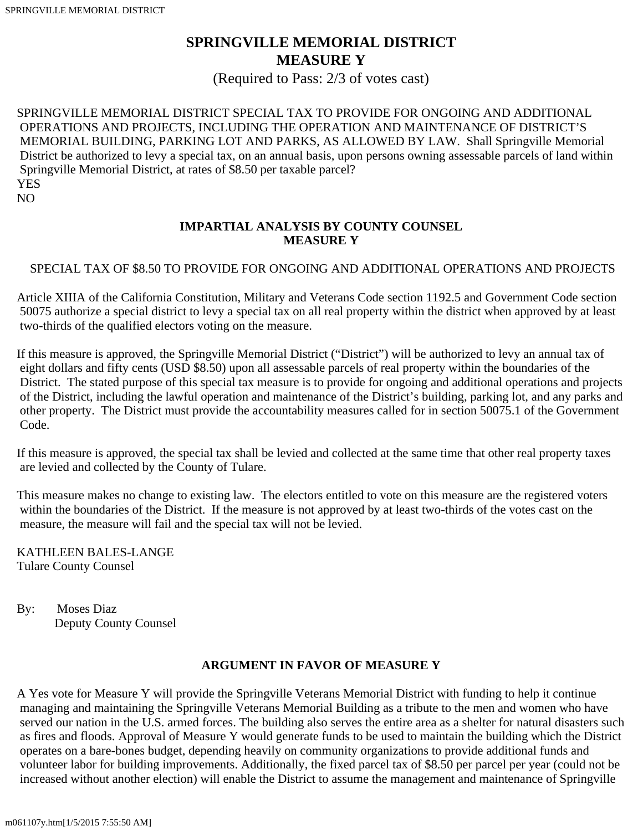# **SPRINGVILLE MEMORIAL DISTRICT MEASURE Y**

(Required to Pass: 2/3 of votes cast)

SPRINGVILLE MEMORIAL DISTRICT SPECIAL TAX TO PROVIDE FOR ONGOING AND ADDITIONAL OPERATIONS AND PROJECTS, INCLUDING THE OPERATION AND MAINTENANCE OF DISTRICT'S MEMORIAL BUILDING, PARKING LOT AND PARKS, AS ALLOWED BY LAW. Shall Springville Memorial District be authorized to levy a special tax, on an annual basis, upon persons owning assessable parcels of land within Springville Memorial District, at rates of \$8.50 per taxable parcel? YES

NO

### **IMPARTIAL ANALYSIS BY COUNTY COUNSEL MEASURE Y**

#### SPECIAL TAX OF \$8.50 TO PROVIDE FOR ONGOING AND ADDITIONAL OPERATIONS AND PROJECTS

Article XIIIA of the California Constitution, Military and Veterans Code section 1192.5 and Government Code section 50075 authorize a special district to levy a special tax on all real property within the district when approved by at least two-thirds of the qualified electors voting on the measure.

If this measure is approved, the Springville Memorial District ("District") will be authorized to levy an annual tax of eight dollars and fifty cents (USD \$8.50) upon all assessable parcels of real property within the boundaries of the District. The stated purpose of this special tax measure is to provide for ongoing and additional operations and projects of the District, including the lawful operation and maintenance of the District's building, parking lot, and any parks and other property. The District must provide the accountability measures called for in section 50075.1 of the Government Code.

If this measure is approved, the special tax shall be levied and collected at the same time that other real property taxes are levied and collected by the County of Tulare.

This measure makes no change to existing law. The electors entitled to vote on this measure are the registered voters within the boundaries of the District. If the measure is not approved by at least two-thirds of the votes cast on the measure, the measure will fail and the special tax will not be levied.

KATHLEEN BALES-LANGE Tulare County Counsel

By: Moses Diaz Deputy County Counsel

#### **ARGUMENT IN FAVOR OF MEASURE Y**

A Yes vote for Measure Y will provide the Springville Veterans Memorial District with funding to help it continue managing and maintaining the Springville Veterans Memorial Building as a tribute to the men and women who have served our nation in the U.S. armed forces. The building also serves the entire area as a shelter for natural disasters such as fires and floods. Approval of Measure Y would generate funds to be used to maintain the building which the District operates on a bare-bones budget, depending heavily on community organizations to provide additional funds and volunteer labor for building improvements. Additionally, the fixed parcel tax of \$8.50 per parcel per year (could not be increased without another election) will enable the District to assume the management and maintenance of Springville